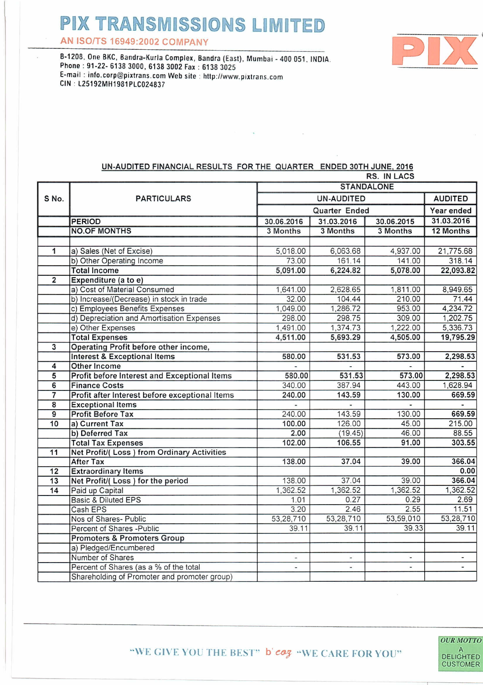## **PIX TRANSMISSIONS LIMITED**

AN ISO/TS 16949:2002 COMPANY

p

8-1208, One 8KC, 8andra-Kurla Complex, 8andra (East), Mumbai - 400 051. INDIA. Phone: 91-22- 6138 3000, 61383002 Fax: 6138 3025 E-mail: [info.corp@pixlrans.com](mailto:info.corp@pixlrans.com) Web site: [htlp:/Iwww.pixlrans.com](http://htlp:/Iwww.pixlrans.com) CIN l25192MH1981PlC024837

## UN-AUDITED FINANCIAL RESULTS FOR THE QUARTER ENDED 30TH JUNE, 2016

|                 |                                                | <b>RS. IN LACS</b>                     |           |                          |                |  |
|-----------------|------------------------------------------------|----------------------------------------|-----------|--------------------------|----------------|--|
|                 |                                                | <b>STANDALONE</b>                      |           |                          |                |  |
| S No.           | <b>PARTICULARS</b>                             | <b>UN-AUDITED</b>                      |           |                          | <b>AUDITED</b> |  |
|                 |                                                | Quarter Ended                          |           |                          | Year ended     |  |
|                 | <b>PERIOD</b>                                  | 31.03.2016<br>30.06.2015<br>30.06.2016 |           |                          | 31.03.2016     |  |
|                 | <b>NO.OF MONTHS</b>                            | 3 Months                               | 3 Months  | 3 Months                 | 12 Months      |  |
|                 |                                                |                                        |           |                          |                |  |
| 1               | a) Sales (Net of Excise)                       | 5,018.00                               | 6,063.68  | 4,937.00                 | 21,775.68      |  |
|                 | b) Other Operating Income                      | 73.00                                  | 161.14    | 141.00                   | 318.14         |  |
|                 | <b>Total Income</b>                            | 5,091.00                               | 6,224.82  | 5,078.00                 | 22,093.82      |  |
| $\overline{2}$  | Expenditure (a to e)                           |                                        |           |                          |                |  |
|                 | a) Cost of Material Consumed                   | 1,641.00                               | 2,628.65  | 1,811.00                 | 8,949.65       |  |
|                 | b) Increase/(Decrease) in stock in trade       | 32.00                                  | 104.44    | 210.00                   | 71.44          |  |
|                 | c) Employees Benefits Expenses                 | 1,049.00                               | 1,286.72  | 953.00                   | 4,234.72       |  |
|                 | d) Depreciation and Amortisation Expenses      | 298.00                                 | 298.75    | 309.00                   | 1,202.75       |  |
|                 | e) Other Expenses                              | 1,491.00                               | 1,374.73  | 1,222.00                 | 5,336.73       |  |
|                 | <b>Total Expenses</b>                          | 4,511.00                               | 5,693.29  | 4,505.00                 | 19,795.29      |  |
| 3               | Operating Profit before other income,          |                                        |           |                          |                |  |
|                 | <b>Interest &amp; Exceptional Items</b>        | 580.00                                 | 531.53    | 573.00                   | 2,298.53       |  |
| $\overline{4}$  | Other Income                                   |                                        | ÷.        |                          | ÷              |  |
| $\overline{5}$  | Profit before Interest and Exceptional Items   | 580.00                                 | 531.53    | 573.00                   | 2,298.53       |  |
| 6               | <b>Finance Costs</b>                           | 340.00                                 | 387.94    | 443.00                   | 1,628.94       |  |
| $\overline{7}$  | Profit after Interest before exceptional Items | 240.00                                 | 143.59    | 130.00                   | 669.59         |  |
| $\overline{8}$  | <b>Exceptional Items</b>                       | ä,                                     | ç.        | u,                       | ä,             |  |
| $\overline{9}$  | <b>Profit Before Tax</b>                       | 240.00                                 | 143.59    | 130.00                   | 669.59         |  |
| $\overline{10}$ | a) Current Tax                                 | 100.00                                 | 126.00    | 45.00                    | 215.00         |  |
|                 | b) Deferred Tax                                | 2.00                                   | (19.45)   | 46.00                    | 88.55          |  |
|                 | <b>Total Tax Expenses</b>                      | 102.00                                 | 106.55    | 91.00                    | 303.55         |  |
| 11              | Net Profit/(Loss) from Ordinary Activities     |                                        |           |                          |                |  |
|                 | <b>After Tax</b>                               | 138.00                                 | 37.04     | 39.00                    | 366.04         |  |
| 12              | <b>Extraordinary Items</b>                     |                                        |           |                          | 0.00           |  |
| 13              | Net Profit/(Loss) for the period               | 138.00                                 | 37.04     | 39.00                    | 366.04         |  |
| 14              | Paid up Capital                                | 1,362.52                               | 1,362.52  | 1,362.52                 | 1,362.52       |  |
|                 | <b>Basic &amp; Diluted EPS</b>                 | 1.01                                   | 0.27      | 0.29                     | 2.69           |  |
|                 | Cash EPS                                       | 3.20                                   | 2.46      | 2.55                     | 11.51          |  |
|                 | Nos of Shares- Public                          | 53,28,710                              | 53,28,710 | 53,59,010                | 53,28,710      |  |
|                 | Percent of Shares - Public                     | 39.11                                  | 39.11     | 39.33                    | 39.11          |  |
|                 | <b>Promoters &amp; Promoters Group</b>         |                                        |           |                          |                |  |
|                 | a) Pledged/Encumbered                          |                                        |           |                          |                |  |
|                 | Number of Shares                               | $\overline{\phantom{a}}$               | ¥.        | $\blacksquare$           | ٠              |  |
|                 | Percent of Shares (as a % of the total         | $\omega$                               | Ξ         | $\overline{\phantom{a}}$ |                |  |
|                 | Shareholding of Promoter and promoter group)   |                                        |           |                          |                |  |

**OUR MOTTO**  $\overline{A}$ **DELIGHTED CUSTOMER** 

"WE GIVE YOU THE BEST" b'  $cog$  "WE CARE FOR YOU"